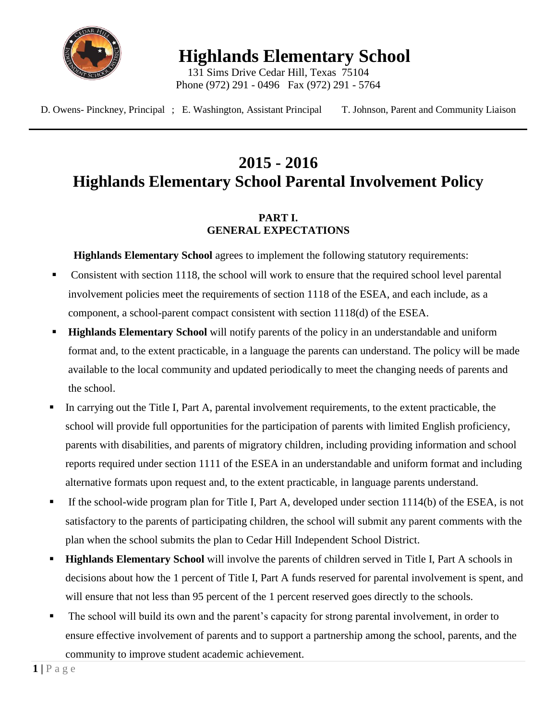

**Highlands Elementary School**

131 Sims Drive Cedar Hill, Texas 75104 Phone (972) 291 - 0496 Fax (972) 291 - 5764

D. Owens- Pinckney, Principal ; E. Washington, Assistant Principal T. Johnson, Parent and Community Liaison

# **2015 - 2016 Highlands Elementary School Parental Involvement Policy**

# **PART I. GENERAL EXPECTATIONS**

**Highlands Elementary School** agrees to implement the following statutory requirements:

- Consistent with section 1118, the school will work to ensure that the required school level parental involvement policies meet the requirements of section 1118 of the ESEA, and each include, as a component, a school-parent compact consistent with section 1118(d) of the ESEA.
- **Highlands Elementary School** will notify parents of the policy in an understandable and uniform format and, to the extent practicable, in a language the parents can understand. The policy will be made available to the local community and updated periodically to meet the changing needs of parents and the school.
- In carrying out the Title I, Part A, parental involvement requirements, to the extent practicable, the school will provide full opportunities for the participation of parents with limited English proficiency, parents with disabilities, and parents of migratory children, including providing information and school reports required under section 1111 of the ESEA in an understandable and uniform format and including alternative formats upon request and, to the extent practicable, in language parents understand.
- If the school-wide program plan for Title I, Part A, developed under section 1114(b) of the ESEA, is not satisfactory to the parents of participating children, the school will submit any parent comments with the plan when the school submits the plan to Cedar Hill Independent School District.
- **Highlands Elementary School** will involve the parents of children served in Title I, Part A schools in decisions about how the 1 percent of Title I, Part A funds reserved for parental involvement is spent, and will ensure that not less than 95 percent of the 1 percent reserved goes directly to the schools.
- The school will build its own and the parent's capacity for strong parental involvement, in order to ensure effective involvement of parents and to support a partnership among the school, parents, and the community to improve student academic achievement.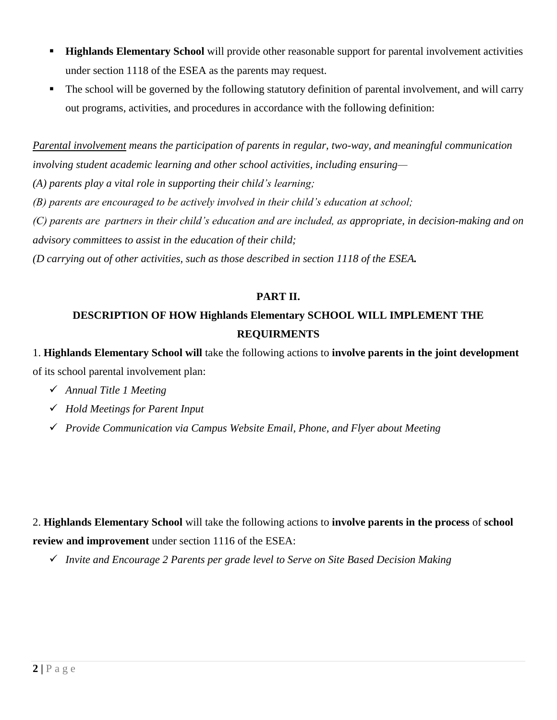- **Highlands Elementary School** will provide other reasonable support for parental involvement activities under section 1118 of the ESEA as the parents may request.
- The school will be governed by the following statutory definition of parental involvement, and will carry out programs, activities, and procedures in accordance with the following definition:

*Parental involvement means the participation of parents in regular, two-way, and meaningful communication involving student academic learning and other school activities, including ensuring—*

*(A) parents play a vital role in supporting their child's learning;*

*(B) parents are encouraged to be actively involved in their child's education at school;*

*(C) parents are partners in their child's education and are included, as appropriate, in decision-making and on advisory committees to assist in the education of their child;*

*(D carrying out of other activities, such as those described in section 1118 of the ESEA.*

# **PART II.**

# **DESCRIPTION OF HOW Highlands Elementary SCHOOL WILL IMPLEMENT THE REQUIRMENTS**

1. **Highlands Elementary School will** take the following actions to **involve parents in the joint development** of its school parental involvement plan:

- *Annual Title 1 Meeting*
- *Hold Meetings for Parent Input*
- *Provide Communication via Campus Website Email, Phone, and Flyer about Meeting*

2. **Highlands Elementary School** will take the following actions to **involve parents in the process** of **school review and improvement** under section 1116 of the ESEA:

*Invite and Encourage 2 Parents per grade level to Serve on Site Based Decision Making*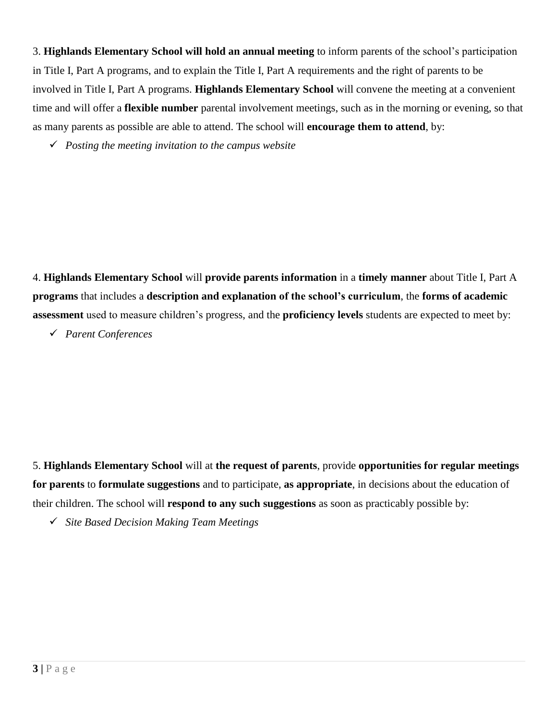3. **Highlands Elementary School will hold an annual meeting** to inform parents of the school's participation in Title I, Part A programs, and to explain the Title I, Part A requirements and the right of parents to be involved in Title I, Part A programs. **Highlands Elementary School** will convene the meeting at a convenient time and will offer a **flexible number** parental involvement meetings, such as in the morning or evening, so that as many parents as possible are able to attend. The school will **encourage them to attend**, by:

*Posting the meeting invitation to the campus website* 

4. **Highlands Elementary School** will **provide parents information** in a **timely manner** about Title I, Part A **programs** that includes a **description and explanation of the school's curriculum**, the **forms of academic assessment** used to measure children's progress, and the **proficiency levels** students are expected to meet by:

*Parent Conferences*

5. **Highlands Elementary School** will at **the request of parents**, provide **opportunities for regular meetings for parents** to **formulate suggestions** and to participate, **as appropriate**, in decisions about the education of their children. The school will **respond to any such suggestions** as soon as practicably possible by:

*Site Based Decision Making Team Meetings*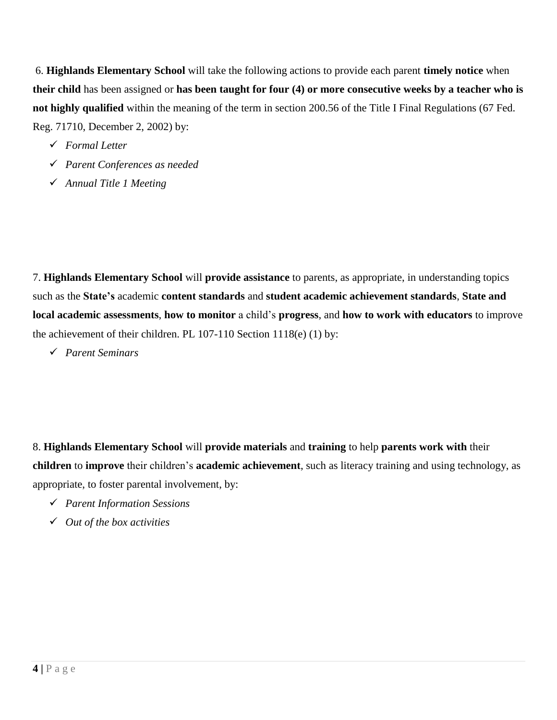6. **Highlands Elementary School** will take the following actions to provide each parent **timely notice** when **their child** has been assigned or **has been taught for four (4) or more consecutive weeks by a teacher who is not highly qualified** within the meaning of the term in section 200.56 of the Title I Final Regulations (67 Fed. Reg. 71710, December 2, 2002) by:

- *Formal Letter*
- *Parent Conferences as needed*
- *Annual Title 1 Meeting*

7. **Highlands Elementary School** will **provide assistance** to parents, as appropriate, in understanding topics such as the **State's** academic **content standards** and **student academic achievement standards**, **State and local academic assessments**, **how to monitor** a child's **progress**, and **how to work with educators** to improve the achievement of their children. PL 107-110 Section 1118(e) (1) by:

*Parent Seminars*

8. **Highlands Elementary School** will **provide materials** and **training** to help **parents work with** their **children** to **improve** their children's **academic achievement**, such as literacy training and using technology, as appropriate, to foster parental involvement, by:

- *Parent Information Sessions*
- *Out of the box activities*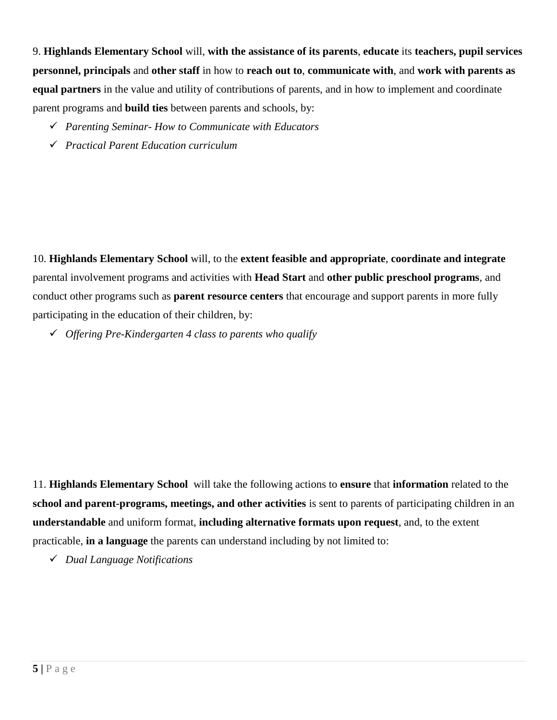9. **Highlands Elementary School** will, **with the assistance of its parents**, **educate** its **teachers, pupil services personnel, principals** and **other staff** in how to **reach out to**, **communicate with**, and **work with parents as equal partners** in the value and utility of contributions of parents, and in how to implement and coordinate parent programs and **build ties** between parents and schools, by:

- *Parenting Seminar- How to Communicate with Educators*
- *Practical Parent Education curriculum*

10. **Highlands Elementary School** will, to the **extent feasible and appropriate**, **coordinate and integrate** parental involvement programs and activities with **Head Start** and **other public preschool programs**, and conduct other programs such as **parent resource centers** that encourage and support parents in more fully participating in the education of their children, by:

*Offering Pre-Kindergarten 4 class to parents who qualify*

11. **Highlands Elementary School** will take the following actions to **ensure** that **information** related to the **school and parent-programs, meetings, and other activities** is sent to parents of participating children in an **understandable** and uniform format, **including alternative formats upon request**, and, to the extent practicable, **in a language** the parents can understand including by not limited to:

*Dual Language Notifications*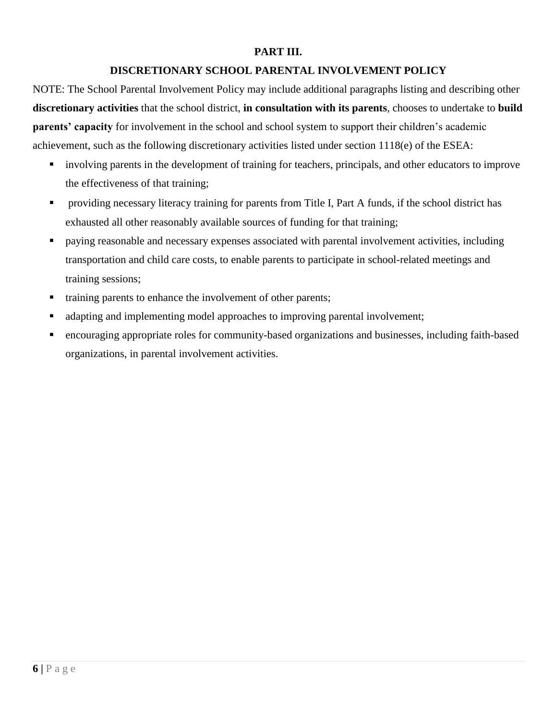#### **PART III.**

# **DISCRETIONARY SCHOOL PARENTAL INVOLVEMENT POLICY**

NOTE: The School Parental Involvement Policy may include additional paragraphs listing and describing other **discretionary activities** that the school district, **in consultation with its parents**, chooses to undertake to **build parents' capacity** for involvement in the school and school system to support their children's academic achievement, such as the following discretionary activities listed under section 1118(e) of the ESEA:

- **involving parents in the development of training for teachers, principals, and other educators to improve** the effectiveness of that training;
- **•** providing necessary literacy training for parents from Title I, Part A funds, if the school district has exhausted all other reasonably available sources of funding for that training;
- paying reasonable and necessary expenses associated with parental involvement activities, including transportation and child care costs, to enable parents to participate in school-related meetings and training sessions;
- training parents to enhance the involvement of other parents;
- adapting and implementing model approaches to improving parental involvement;
- encouraging appropriate roles for community-based organizations and businesses, including faith-based organizations, in parental involvement activities.